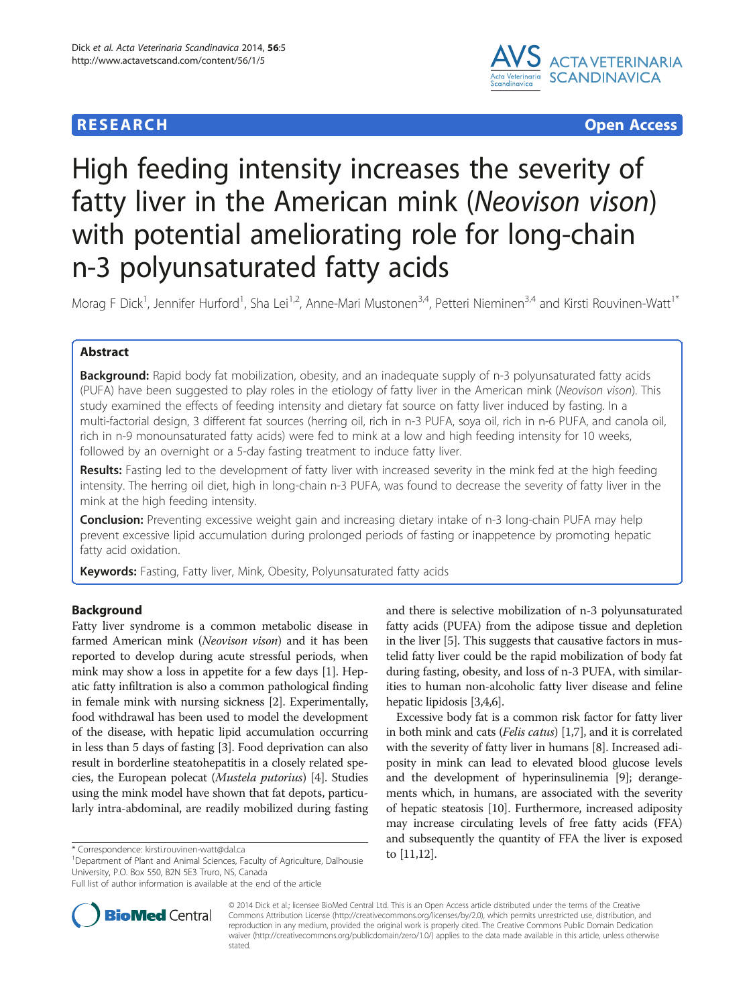# **RESEARCH CHEAR CHEAR CHEAR CHEAR CHEAR CHEAR CHEAR CHEAR CHEAR CHEAR CHEAR CHEAR CHEAR CHEAR CHEAR CHEAR CHEAR**



# High feeding intensity increases the severity of fatty liver in the American mink (Neovison vison) with potential ameliorating role for long-chain n-3 polyunsaturated fatty acids

Morag F Dick<sup>1</sup>, Jennifer Hurford<sup>1</sup>, Sha Lei<sup>1,2</sup>, Anne-Mari Mustonen<sup>3,4</sup>, Petteri Nieminen<sup>3,4</sup> and Kirsti Rouvinen-Watt<sup>1\*</sup>

# Abstract

**Background:** Rapid body fat mobilization, obesity, and an inadequate supply of n-3 polyunsaturated fatty acids (PUFA) have been suggested to play roles in the etiology of fatty liver in the American mink (Neovison vison). This study examined the effects of feeding intensity and dietary fat source on fatty liver induced by fasting. In a multi-factorial design, 3 different fat sources (herring oil, rich in n-3 PUFA, soya oil, rich in n-6 PUFA, and canola oil, rich in n-9 monounsaturated fatty acids) were fed to mink at a low and high feeding intensity for 10 weeks, followed by an overnight or a 5-day fasting treatment to induce fatty liver.

Results: Fasting led to the development of fatty liver with increased severity in the mink fed at the high feeding intensity. The herring oil diet, high in long-chain n-3 PUFA, was found to decrease the severity of fatty liver in the mink at the high feeding intensity.

Conclusion: Preventing excessive weight gain and increasing dietary intake of n-3 long-chain PUFA may help prevent excessive lipid accumulation during prolonged periods of fasting or inappetence by promoting hepatic fatty acid oxidation.

Keywords: Fasting, Fatty liver, Mink, Obesity, Polyunsaturated fatty acids

# Background

Fatty liver syndrome is a common metabolic disease in farmed American mink (Neovison vison) and it has been reported to develop during acute stressful periods, when mink may show a loss in appetite for a few days [\[1](#page-7-0)]. Hepatic fatty infiltration is also a common pathological finding in female mink with nursing sickness [\[2](#page-7-0)]. Experimentally, food withdrawal has been used to model the development of the disease, with hepatic lipid accumulation occurring in less than 5 days of fasting [\[3\]](#page-7-0). Food deprivation can also result in borderline steatohepatitis in a closely related species, the European polecat (Mustela putorius) [\[4](#page-7-0)]. Studies using the mink model have shown that fat depots, particularly intra-abdominal, are readily mobilized during fasting

\* Correspondence: [kirsti.rouvinen-watt@dal.ca](mailto:kirsti.rouvinen-watt@dal.ca) 10. particulture, Dalhousie 10  $\,$  [\[11,12](#page-7-0)]. University, P.O. Box 550, B2N 5E3 Truro, NS, Canada



Excessive body fat is a common risk factor for fatty liver in both mink and cats (Felis catus) [\[1,7\]](#page-7-0), and it is correlated with the severity of fatty liver in humans [\[8](#page-7-0)]. Increased adiposity in mink can lead to elevated blood glucose levels and the development of hyperinsulinemia [[9](#page-7-0)]; derangements which, in humans, are associated with the severity of hepatic steatosis [\[10\]](#page-7-0). Furthermore, increased adiposity may increase circulating levels of free fatty acids (FFA) and subsequently the quantity of FFA the liver is exposed



© 2014 Dick et al.; licensee BioMed Central Ltd. This is an Open Access article distributed under the terms of the Creative Commons Attribution License [\(http://creativecommons.org/licenses/by/2.0\)](http://creativecommons.org/licenses/by/2.0), which permits unrestricted use, distribution, and reproduction in any medium, provided the original work is properly cited. The Creative Commons Public Domain Dedication waiver [\(http://creativecommons.org/publicdomain/zero/1.0/\)](http://creativecommons.org/publicdomain/zero/1.0/) applies to the data made available in this article, unless otherwise stated.

Full list of author information is available at the end of the article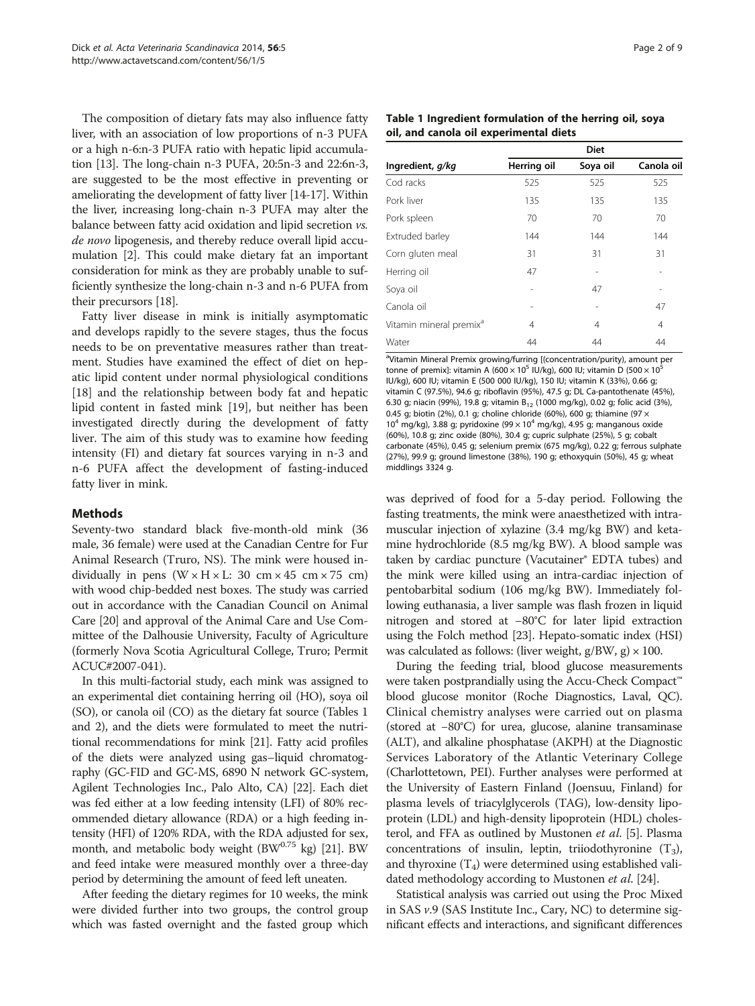The composition of dietary fats may also influence fatty liver, with an association of low proportions of n-3 PUFA or a high n-6:n-3 PUFA ratio with hepatic lipid accumulation [[13](#page-7-0)]. The long-chain n-3 PUFA, 20:5n-3 and 22:6n-3, are suggested to be the most effective in preventing or ameliorating the development of fatty liver [[14](#page-7-0)-[17](#page-7-0)]. Within the liver, increasing long-chain n-3 PUFA may alter the balance between fatty acid oxidation and lipid secretion vs. de novo lipogenesis, and thereby reduce overall lipid accumulation [\[2](#page-7-0)]. This could make dietary fat an important consideration for mink as they are probably unable to sufficiently synthesize the long-chain n-3 and n-6 PUFA from their precursors [[18](#page-7-0)].

Fatty liver disease in mink is initially asymptomatic and develops rapidly to the severe stages, thus the focus needs to be on preventative measures rather than treatment. Studies have examined the effect of diet on hepatic lipid content under normal physiological conditions [[18\]](#page-7-0) and the relationship between body fat and hepatic lipid content in fasted mink [\[19\]](#page-7-0), but neither has been investigated directly during the development of fatty liver. The aim of this study was to examine how feeding intensity (FI) and dietary fat sources varying in n-3 and n-6 PUFA affect the development of fasting-induced fatty liver in mink.

# Methods

Seventy-two standard black five-month-old mink (36 male, 36 female) were used at the Canadian Centre for Fur Animal Research (Truro, NS). The mink were housed individually in pens  $(W \times H \times L: 30 \text{ cm} \times 45 \text{ cm} \times 75 \text{ cm})$ with wood chip-bedded nest boxes. The study was carried out in accordance with the Canadian Council on Animal Care [\[20\]](#page-7-0) and approval of the Animal Care and Use Committee of the Dalhousie University, Faculty of Agriculture (formerly Nova Scotia Agricultural College, Truro; Permit ACUC#2007-041).

In this multi-factorial study, each mink was assigned to an experimental diet containing herring oil (HO), soya oil (SO), or canola oil (CO) as the dietary fat source (Tables 1 and [2\)](#page-2-0), and the diets were formulated to meet the nutritional recommendations for mink [\[21\]](#page-7-0). Fatty acid profiles of the diets were analyzed using gas–liquid chromatography (GC-FID and GC-MS, 6890 N network GC-system, Agilent Technologies Inc., Palo Alto, CA) [\[22\]](#page-7-0). Each diet was fed either at a low feeding intensity (LFI) of 80% recommended dietary allowance (RDA) or a high feeding intensity (HFI) of 120% RDA, with the RDA adjusted for sex, month, and metabolic body weight (BW $^{0.75}$  kg) [[21](#page-7-0)]. BW and feed intake were measured monthly over a three-day period by determining the amount of feed left uneaten.

After feeding the dietary regimes for 10 weeks, the mink were divided further into two groups, the control group which was fasted overnight and the fasted group which

| Table 1 Ingredient formulation of the herring oil, soya |  |
|---------------------------------------------------------|--|
| oil, and canola oil experimental diets                  |  |

| <b>Diet</b> |          |            |  |  |
|-------------|----------|------------|--|--|
| Herring oil | Soya oil | Canola oil |  |  |
| 525         | 525      | 525        |  |  |
| 135         | 135      | 135        |  |  |
| 70          | 70       | 70         |  |  |
| 144         | 144      | 144        |  |  |
| 31          | 31       | 31         |  |  |
| 47          |          |            |  |  |
|             | 47       |            |  |  |
|             |          | 47         |  |  |
| 4           | 4        | 4          |  |  |
| 44          | 44       | 44         |  |  |
|             |          |            |  |  |

<sup>a</sup>Vitamin Mineral Premix growing/furring [(concentration/purity), amount per tonne of premix]: vitamin A (600  $\times$  10<sup>5</sup> IU/kg), 600 IU; vitamin D (500  $\times$  10<sup>5</sup> IU/kg), 600 IU; vitamin E (500 000 IU/kg), 150 IU; vitamin K (33%), 0.66 g; vitamin C (97.5%), 94.6 g; riboflavin (95%), 47.5 g; DL Ca-pantothenate (45%), 6.30 g; niacin (99%), 19.8 g; vitamin  $B_{12}$  (1000 mg/kg), 0.02 g; folic acid (3%), 0.45 g; biotin (2%), 0.1 g; choline chloride (60%), 600 g; thiamine (97  $\times$ 10<sup>4</sup> mg/kg), 3.88 g; pyridoxine (99  $\times$  10<sup>4</sup> mg/kg), 4.95 g; manganous oxide (60%), 10.8 g; zinc oxide (80%), 30.4 g; cupric sulphate (25%), 5 g; cobalt carbonate (45%), 0.45 g; selenium premix (675 mg/kg), 0.22 g; ferrous sulphate (27%), 99.9 g; ground limestone (38%), 190 g; ethoxyquin (50%), 45 g; wheat middlings 3324 g.

was deprived of food for a 5-day period. Following the fasting treatments, the mink were anaesthetized with intramuscular injection of xylazine (3.4 mg/kg BW) and ketamine hydrochloride (8.5 mg/kg BW). A blood sample was taken by cardiac puncture (Vacutainer® EDTA tubes) and the mink were killed using an intra-cardiac injection of pentobarbital sodium (106 mg/kg BW). Immediately following euthanasia, a liver sample was flash frozen in liquid nitrogen and stored at −80°C for later lipid extraction using the Folch method [\[23\]](#page-7-0). Hepato-somatic index (HSI) was calculated as follows: (liver weight,  $g/BW$ ,  $g \ge 100$ .

During the feeding trial, blood glucose measurements were taken postprandially using the Accu-Check Compact™ blood glucose monitor (Roche Diagnostics, Laval, QC). Clinical chemistry analyses were carried out on plasma (stored at −80°C) for urea, glucose, alanine transaminase (ALT), and alkaline phosphatase (AKPH) at the Diagnostic Services Laboratory of the Atlantic Veterinary College (Charlottetown, PEI). Further analyses were performed at the University of Eastern Finland (Joensuu, Finland) for plasma levels of triacylglycerols (TAG), low-density lipoprotein (LDL) and high-density lipoprotein (HDL) choles-terol, and FFA as outlined by Mustonen et al. [\[5\]](#page-7-0). Plasma concentrations of insulin, leptin, triiodothyronine  $(T_3)$ , and thyroxine  $(T_4)$  were determined using established validated methodology according to Mustonen *et al.* [\[24\]](#page-7-0).

Statistical analysis was carried out using the Proc Mixed in SAS v.9 (SAS Institute Inc., Cary, NC) to determine significant effects and interactions, and significant differences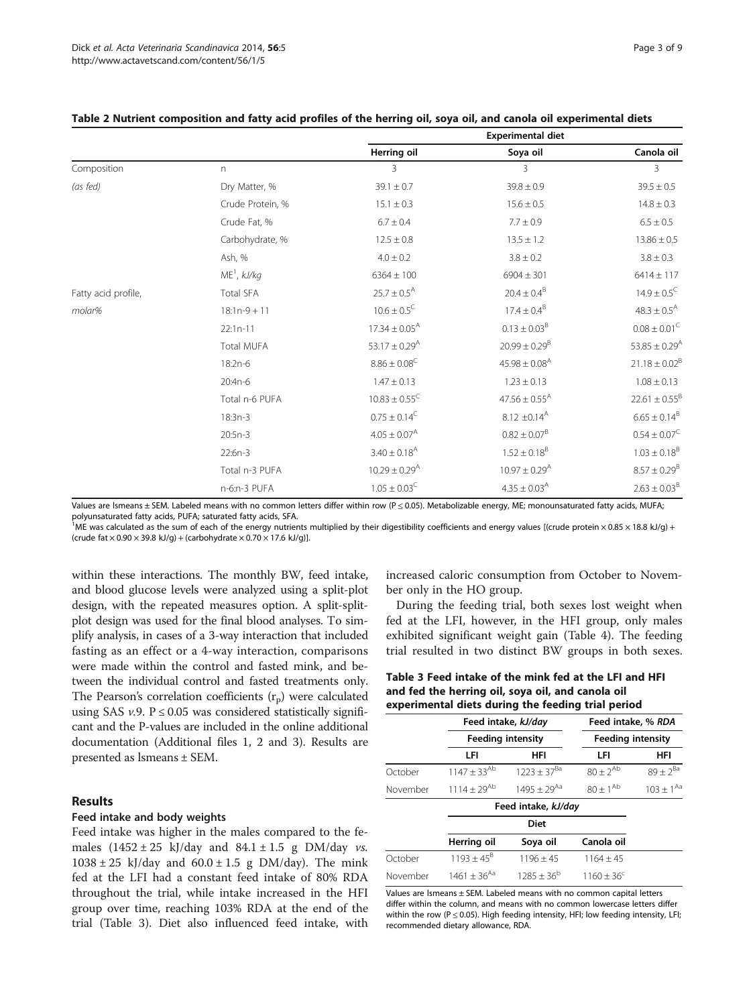|                     |                   | <b>Experimental diet</b>      |                               |                               |
|---------------------|-------------------|-------------------------------|-------------------------------|-------------------------------|
|                     |                   | Herring oil                   | Soya oil                      | Canola oil                    |
| Composition         | n                 | 3                             | 3                             | 3                             |
| (as fed)            | Dry Matter, %     | $39.1 \pm 0.7$                | $39.8 \pm 0.9$                | $39.5 \pm 0.5$                |
|                     | Crude Protein, %  | $15.1 \pm 0.3$                | $15.6 \pm 0.5$                | $14.8 \pm 0.3$                |
|                     | Crude Fat, %      | $6.7 \pm 0.4$                 | $7.7 \pm 0.9$                 | $6.5 \pm 0.5$                 |
|                     | Carbohydrate, %   | $12.5 \pm 0.8$                | $13.5 \pm 1.2$                | $13.86 \pm 0.5$               |
|                     | Ash, %            | $4.0 \pm 0.2$                 | $3.8 \pm 0.2$                 | $3.8 \pm 0.3$                 |
|                     | $ME1$ , kJ/kg     | $6364 \pm 100$                | $6904 \pm 301$                | $6414 \pm 117$                |
| Fatty acid profile, | <b>Total SFA</b>  | $25.7 \pm 0.5^{\text{A}}$     | $20.4 \pm 0.4^8$              | $14.9 \pm 0.5^{\circ}$        |
| molar%              | $18:1n-9+11$      | $10.6 \pm 0.5^{\circ}$        | $17.4 \pm 0.4^8$              | $48.3 \pm 0.5^{\text{A}}$     |
|                     | $22:1n-11$        | $17.34 \pm 0.05^{\text{A}}$   | $0.13 \pm 0.03^8$             | $0.08\pm0.01^{\rm C}$         |
|                     | <b>Total MUFA</b> | $53.17 \pm 0.29$ <sup>A</sup> | $20.99 \pm 0.29^{\rm B}$      | $53.85 \pm 0.29$ <sup>A</sup> |
|                     | 18:2n-6           | $8.86\pm0.08^{\rm C}$         | $45.98 \pm 0.08^{\text{A}}$   | $21.18 \pm 0.02^B$            |
|                     | 20:4n-6           | $1.47 \pm 0.13$               | $1.23 \pm 0.13$               | $1.08 \pm 0.13$               |
|                     | Total n-6 PUFA    | $10.83 \pm 0.55^{\circ}$      | $47.56 \pm 0.55^{\text{A}}$   | $22.61 \pm 0.55^B$            |
|                     | $18:3n-3$         | $0.75\pm0.14^{\mathrm{C}}$    | $8.12 \pm 0.14^{\text{A}}$    | $6.65\pm0.14^{\text{B}}$      |
|                     | $20:5n-3$         | $4.05 \pm 0.07^{\text{A}}$    | $0.82 \pm 0.07^8$             | $0.54\pm0.07^{\rm C}$         |
|                     | $22:6n-3$         | $3.40 \pm 0.18$ <sup>A</sup>  | $1.52 \pm 0.18^8$             | $1.03 \pm 0.18^{\rm B}$       |
|                     | Total n-3 PUFA    | $10.29 \pm 0.29$ <sup>A</sup> | $10.97 \pm 0.29$ <sup>A</sup> | $8.57 \pm 0.29^8$             |
|                     | n-6:n-3 PUFA      | $1.05 \pm 0.03^C$             | $4.35 \pm 0.03^{\text{A}}$    | $2.63 \pm 0.03^{\rm B}$       |

#### <span id="page-2-0"></span>Table 2 Nutrient composition and fatty acid profiles of the herring oil, soya oil, and canola oil experimental diets

Values are Ismeans ± SEM. Labeled means with no common letters differ within row (P ≤ 0.05). Metabolizable energy, ME; monounsaturated fatty acids, MUFA; polyunsaturated fatty acids, PUFA; saturated fatty acids, SFA.

<sup>1</sup>ME was calculated as the sum of each of the energy nutrients multiplied by their digestibility coefficients and energy values [(crude protein × 0.85 × 18.8 kJ/g) + (crude fat  $\times$  0.90  $\times$  39.8 kJ/g) + (carbohydrate  $\times$  0.70  $\times$  17.6 kJ/g)].

within these interactions. The monthly BW, feed intake, and blood glucose levels were analyzed using a split-plot design, with the repeated measures option. A split-splitplot design was used for the final blood analyses. To simplify analysis, in cases of a 3-way interaction that included fasting as an effect or a 4-way interaction, comparisons were made within the control and fasted mink, and between the individual control and fasted treatments only. The Pearson's correlation coefficients  $(r_p)$  were calculated using SAS  $v.9$ .  $P \le 0.05$  was considered statistically significant and the P-values are included in the online additional documentation (Additional files [1](#page-6-0), [2](#page-7-0) and [3\)](#page-7-0). Results are presented as lsmeans ± SEM.

# Results

# Feed intake and body weights

Feed intake was higher in the males compared to the females  $(1452 \pm 25 \text{ k})/\text{day}$  and  $84.1 \pm 1.5 \text{ g}$  DM/day vs.  $1038 \pm 25$  kJ/day and  $60.0 \pm 1.5$  g DM/day). The mink fed at the LFI had a constant feed intake of 80% RDA throughout the trial, while intake increased in the HFI group over time, reaching 103% RDA at the end of the trial (Table 3). Diet also influenced feed intake, with increased caloric consumption from October to November only in the HO group.

During the feeding trial, both sexes lost weight when fed at the LFI, however, in the HFI group, only males exhibited significant weight gain (Table [4](#page-3-0)). The feeding trial resulted in two distinct BW groups in both sexes.

# Table 3 Feed intake of the mink fed at the LFI and HFI and fed the herring oil, soya oil, and canola oil experimental diets during the feeding trial period

|                    | Feed intake, kJ/day      |                  | Feed intake, % RDA       |                  |  |
|--------------------|--------------------------|------------------|--------------------------|------------------|--|
|                    | <b>Feeding intensity</b> |                  | <b>Feeding intensity</b> |                  |  |
|                    | LFI                      | <b>HFI</b>       | LFI                      | HFI              |  |
| October            | $1147 \pm 33^{Ab}$       | $1223 + 37^{8a}$ | $80 + 2^{Ab}$            | $89 + 2^{8a}$    |  |
| November           | $1114 + 29^{Ab}$         | $1495 + 29^{Aa}$ | $80 + 1^{Ab}$            | $103 \pm 1^{Aa}$ |  |
| Eggd intake kl/day |                          |                  |                          |                  |  |

|          | recumunc, <i>Ni</i> uy |               |                     |  |
|----------|------------------------|---------------|---------------------|--|
|          | Diet                   |               |                     |  |
|          | Herring oil            | Soya oil      | Canola oil          |  |
| October  | $1193 + 45^8$          | $1196 + 45$   | $1164 + 45$         |  |
| November | $1461 + 36^{Aa}$       | $1285 + 36^b$ | $1160 + 36^{\circ}$ |  |

Values are lsmeans ± SEM. Labeled means with no common capital letters differ within the column, and means with no common lowercase letters differ within the row ( $P \le 0.05$ ). High feeding intensity, HFI; low feeding intensity, LFI; recommended dietary allowance, RDA.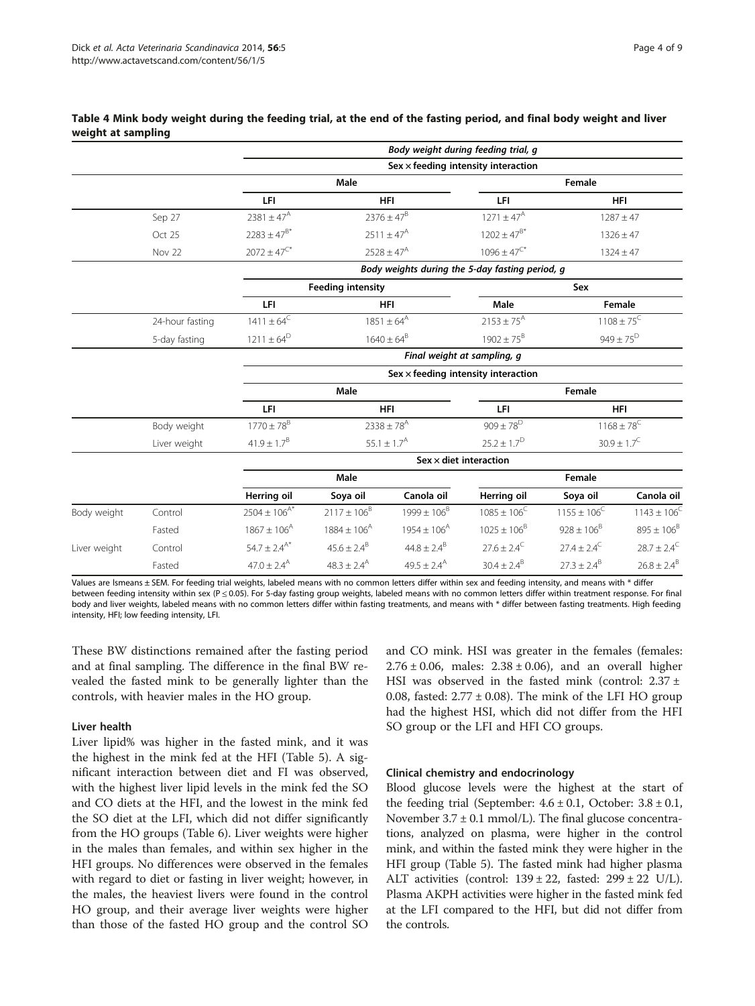|              |                 |                                                 |                           | Body weight during feeding trial, g        |                                          |                        |                            |
|--------------|-----------------|-------------------------------------------------|---------------------------|--------------------------------------------|------------------------------------------|------------------------|----------------------------|
|              |                 |                                                 |                           | Sex $\times$ feeding intensity interaction |                                          |                        |                            |
|              |                 |                                                 | Male                      |                                            |                                          | Female                 |                            |
|              |                 | LFI                                             |                           | <b>HFI</b>                                 | LFI                                      |                        | <b>HFI</b>                 |
|              | Sep 27          | $2381 \pm 47^{\text{A}}$                        |                           | $2376 \pm 47^{\text{B}}$                   | $1271 \pm 47^{\text{A}}$                 |                        | $1287 \pm 47$              |
|              | Oct 25          | $2283 \pm 47^{8*}$                              |                           | $2511 \pm 47^{\text{A}}$                   | $1202 \pm 47^{B*}$                       |                        | $1326 \pm 47$              |
|              | Nov 22          | $2072 \pm 47^{\text{C*}}$                       |                           | $2528 \pm 47^{\text{A}}$                   | $1096 \pm 47$ <sup><math>C*</math></sup> |                        | $1324 \pm 47$              |
|              |                 | Body weights during the 5-day fasting period, g |                           |                                            |                                          |                        |                            |
|              |                 |                                                 | <b>Feeding intensity</b>  |                                            |                                          | Sex                    |                            |
|              |                 | LFI                                             |                           | <b>HFI</b>                                 | Male                                     |                        | Female                     |
|              | 24-hour fasting | $1411 \pm 64^C$                                 |                           | $1851 \pm 64^{A}$                          | $2153 \pm 75^{A}$                        |                        | $1108 \pm 75^{\circ}$      |
|              | 5-day fasting   | $1211 \pm 64^D$                                 |                           | $1640 \pm 64^8$                            | $1902 \pm 75^8$                          |                        | $949 \pm 75^{D}$           |
|              |                 |                                                 |                           | Final weight at sampling, q                |                                          |                        |                            |
|              |                 |                                                 |                           | $Sex \times$ feeding intensity interaction |                                          |                        |                            |
|              |                 |                                                 | Male                      |                                            |                                          | Female                 |                            |
|              |                 | LFI                                             |                           | <b>HFI</b>                                 | LFI                                      |                        | <b>HFI</b>                 |
|              | Body weight     | $1770\pm78^{\text{B}}$                          |                           | $2338 \pm 78^{A}$                          | $909 \pm 78^{\text{D}}$                  |                        | $1168 \pm 78$ <sup>C</sup> |
|              | Liver weight    | $41.9 \pm 1.7^{B}$                              |                           | $55.1 \pm 1.7^{\text{A}}$                  | $25.2 \pm 1.7^{D}$                       |                        | $30.9\pm1.7^{\rm C}$       |
|              |                 |                                                 |                           | Sex $\times$ diet interaction              |                                          |                        |                            |
|              |                 |                                                 | Male                      |                                            |                                          | Female                 |                            |
|              |                 | Herring oil                                     | Soya oil                  | Canola oil                                 | Herring oil                              | Soya oil               | Canola oil                 |
| Body weight  | Control         | $2504 \pm 106^{A*}$                             | $2117 \pm 106^8$          | $1999 \pm 106^8$                           | $1085 \pm 106^{\circ}$                   | $1155 \pm 106^C$       | $1143 \pm 106^{\circ}$     |
|              | Fasted          | $1867 \pm 106^{A}$                              | $1884 \pm 106^{A}$        | $1954 \pm 106^{A}$                         | $1025 \pm 106^8$                         | $928 \pm 106^8$        | $895 \pm 106^{8}$          |
| Liver weight | Control         | $54.7 \pm 2.4^{A*}$                             | $45.6 \pm 2.4^{\circ}$    | $44.8 \pm 2.4^8$                           | $27.6 \pm 2.4^C$                         | $27.4 \pm 2.4^{\circ}$ | $28.7 \pm 2.4^C$           |
|              | Fasted          | $47.0 \pm 2.4$ <sup>A</sup>                     | $48.3 \pm 2.4^{\text{A}}$ | $49.5 \pm 2.4^{\text{A}}$                  | $30.4 \pm 2.4^B$                         | $27.3 \pm 2.4^B$       | $26.8 \pm 2.4^{\text{B}}$  |

#### <span id="page-3-0"></span>Table 4 Mink body weight during the feeding trial, at the end of the fasting period, and final body weight and liver weight at sampling

Values are Ismeans ± SEM. For feeding trial weights, labeled means with no common letters differ within sex and feeding intensity, and means with \* differ between feeding intensity within sex (P ≤ 0.05). For 5-day fasting group weights, labeled means with no common letters differ within treatment response. For final body and liver weights, labeled means with no common letters differ within fasting treatments, and means with \* differ between fasting treatments. High feeding intensity, HFI; low feeding intensity, LFI.

These BW distinctions remained after the fasting period and at final sampling. The difference in the final BW revealed the fasted mink to be generally lighter than the controls, with heavier males in the HO group.

#### Liver health

Liver lipid% was higher in the fasted mink, and it was the highest in the mink fed at the HFI (Table [5](#page-4-0)). A significant interaction between diet and FI was observed, with the highest liver lipid levels in the mink fed the SO and CO diets at the HFI, and the lowest in the mink fed the SO diet at the LFI, which did not differ significantly from the HO groups (Table [6\)](#page-4-0). Liver weights were higher in the males than females, and within sex higher in the HFI groups. No differences were observed in the females with regard to diet or fasting in liver weight; however, in the males, the heaviest livers were found in the control HO group, and their average liver weights were higher than those of the fasted HO group and the control SO and CO mink. HSI was greater in the females (females:  $2.76 \pm 0.06$ , males:  $2.38 \pm 0.06$ ), and an overall higher HSI was observed in the fasted mink (control:  $2.37 \pm$ 0.08, fasted:  $2.77 \pm 0.08$ ). The mink of the LFI HO group had the highest HSI, which did not differ from the HFI SO group or the LFI and HFI CO groups.

#### Clinical chemistry and endocrinology

Blood glucose levels were the highest at the start of the feeding trial (September:  $4.6 \pm 0.1$ , October:  $3.8 \pm 0.1$ , November  $3.7 \pm 0.1$  mmol/L). The final glucose concentrations, analyzed on plasma, were higher in the control mink, and within the fasted mink they were higher in the HFI group (Table [5](#page-4-0)). The fasted mink had higher plasma ALT activities (control:  $139 \pm 22$ , fasted:  $299 \pm 22$  U/L). Plasma AKPH activities were higher in the fasted mink fed at the LFI compared to the HFI, but did not differ from the controls.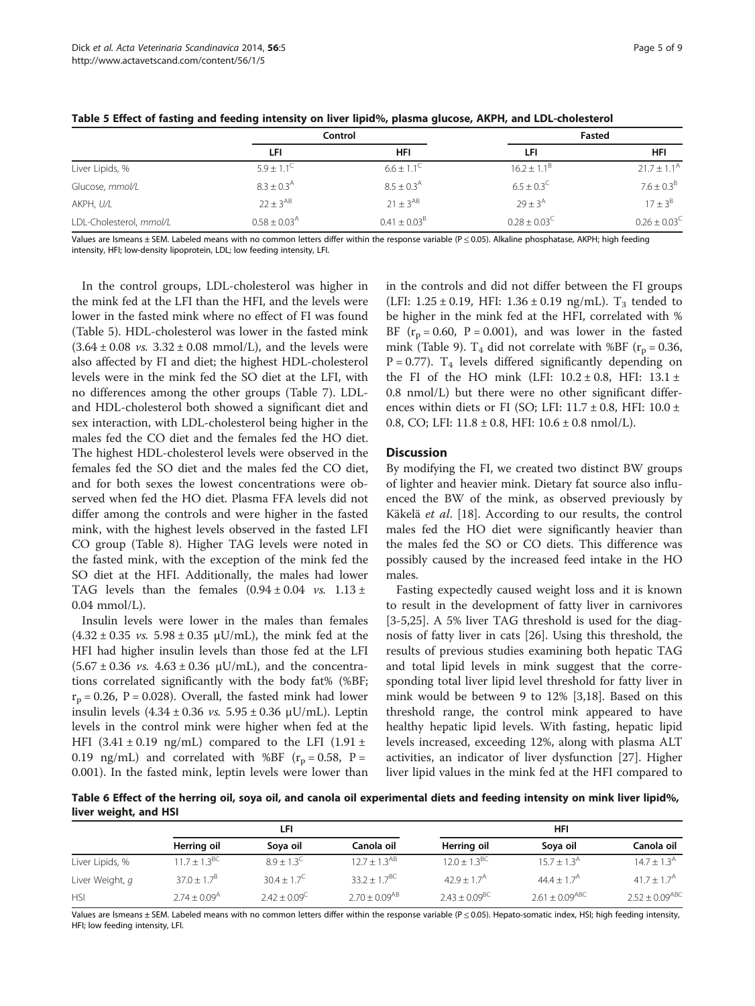|                         | Control                    |                         |                         | Fasted                 |
|-------------------------|----------------------------|-------------------------|-------------------------|------------------------|
|                         | LFI                        | HFI                     | LFI                     | <b>HFI</b>             |
| Liver Lipids, %         | $5.9 + 1.1^{\circ}$        | $6.6 \pm 1.1^{\circ}$   | $16.2 + 1.1^{b}$        | $21.7 \pm 1.1^{\circ}$ |
| Glucose, mmol/L         | $8.3 \pm 0.3^{\text{A}}$   | $8.5 \pm 0.3^{\circ}$   | $6.5 \pm 0.3^{\circ}$   | $7.6 \pm 0.3^{\circ}$  |
| AKPH, U/L               | $22 + 3^{AB}$              | $21 + 3^{AB}$           | $79 + 3^{\circ}$        | $17 + 3^8$             |
| LDL-Cholesterol, mmol/L | $0.58 \pm 0.03^{\text{A}}$ | $0.41 \pm 0.03^{\circ}$ | $0.28 \pm 0.03^{\circ}$ | $0.26 \pm 0.03$        |

<span id="page-4-0"></span>Table 5 Effect of fasting and feeding intensity on liver lipid%, plasma glucose, AKPH, and LDL-cholesterol

Values are Ismeans ± SEM. Labeled means with no common letters differ within the response variable (P < 0.05). Alkaline phosphatase, AKPH: high feeding intensity, HFI; low-density lipoprotein, LDL; low feeding intensity, LFI.

In the control groups, LDL-cholesterol was higher in the mink fed at the LFI than the HFI, and the levels were lower in the fasted mink where no effect of FI was found (Table 5). HDL-cholesterol was lower in the fasted mink  $(3.64 \pm 0.08 \text{ vs. } 3.32 \pm 0.08 \text{ mmol/L})$ , and the levels were also affected by FI and diet; the highest HDL-cholesterol levels were in the mink fed the SO diet at the LFI, with no differences among the other groups (Table [7](#page-5-0)). LDLand HDL-cholesterol both showed a significant diet and sex interaction, with LDL-cholesterol being higher in the males fed the CO diet and the females fed the HO diet. The highest HDL-cholesterol levels were observed in the females fed the SO diet and the males fed the CO diet, and for both sexes the lowest concentrations were observed when fed the HO diet. Plasma FFA levels did not differ among the controls and were higher in the fasted mink, with the highest levels observed in the fasted LFI CO group (Table [8](#page-5-0)). Higher TAG levels were noted in the fasted mink, with the exception of the mink fed the SO diet at the HFI. Additionally, the males had lower TAG levels than the females  $(0.94 \pm 0.04 \text{ v s. } 1.13 \pm 1.00 \text{ s})$ 0.04 mmol/L).

Insulin levels were lower in the males than females  $(4.32 \pm 0.35 \text{ vs. } 5.98 \pm 0.35 \text{ }\mu\text{U/mL})$ , the mink fed at the HFI had higher insulin levels than those fed at the LFI  $(5.67 \pm 0.36 \text{ vs. } 4.63 \pm 0.36 \text{ }\mu\text{U/mL})$ , and the concentrations correlated significantly with the body fat% (%BF;  $r_p = 0.26$ , P = 0.028). Overall, the fasted mink had lower insulin levels  $(4.34 \pm 0.36 \, \nu s. 5.95 \pm 0.36 \, \mu$ U/mL). Leptin levels in the control mink were higher when fed at the HFI (3.41  $\pm$  0.19 ng/mL) compared to the LFI (1.91  $\pm$ 0.19 ng/mL) and correlated with %BF ( $r_p = 0.58$ , P = 0.001). In the fasted mink, leptin levels were lower than

in the controls and did not differ between the FI groups (LFI:  $1.25 \pm 0.19$ , HFI:  $1.36 \pm 0.19$  ng/mL). T<sub>3</sub> tended to be higher in the mink fed at the HFI, correlated with % BF  $(r_p = 0.60, P = 0.001)$ , and was lower in the fasted mink (Table [9\)](#page-6-0). T<sub>4</sub> did not correlate with %BF ( $r_p = 0.36$ ,  $P = 0.77$ ). T<sub>4</sub> levels differed significantly depending on the FI of the HO mink (LFI:  $10.2 \pm 0.8$ , HFI:  $13.1 \pm$ 0.8 nmol/L) but there were no other significant differences within diets or FI (SO; LFI:  $11.7 \pm 0.8$ , HFI:  $10.0 \pm$ 0.8, CO; LFI:  $11.8 \pm 0.8$ , HFI:  $10.6 \pm 0.8$  nmol/L).

#### **Discussion**

By modifying the FI, we created two distinct BW groups of lighter and heavier mink. Dietary fat source also influenced the BW of the mink, as observed previously by Käkelä et al. [\[18\]](#page-7-0). According to our results, the control males fed the HO diet were significantly heavier than the males fed the SO or CO diets. This difference was possibly caused by the increased feed intake in the HO males.

Fasting expectedly caused weight loss and it is known to result in the development of fatty liver in carnivores [[3-5,25](#page-7-0)]. A 5% liver TAG threshold is used for the diagnosis of fatty liver in cats [\[26](#page-7-0)]. Using this threshold, the results of previous studies examining both hepatic TAG and total lipid levels in mink suggest that the corresponding total liver lipid level threshold for fatty liver in mink would be between 9 to 12% [\[3,18](#page-7-0)]. Based on this threshold range, the control mink appeared to have healthy hepatic lipid levels. With fasting, hepatic lipid levels increased, exceeding 12%, along with plasma ALT activities, an indicator of liver dysfunction [[27\]](#page-7-0). Higher liver lipid values in the mink fed at the HFI compared to

Table 6 Effect of the herring oil, soya oil, and canola oil experimental diets and feeding intensity on mink liver lipid%, liver weight, and HSI

|                 | LFI                          |                        |                      | HFI                         |                       |                       |
|-----------------|------------------------------|------------------------|----------------------|-----------------------------|-----------------------|-----------------------|
|                 | Herring oil                  | Soya oil               | Canola oil           | Herring oil                 | Soya oil              | Canola oil            |
| Liver Lipids, % | $11.7 + 1.3^{BC}$            | $8.9 + 1.3^{\circ}$    | $12.7 + 1.3^{AB}$    | $12.0 + 1.3^{BC}$           | $15.7 + 1.3A$         | $14.7 + 1.3A$         |
| Liver Weight, q | $37.0 \pm 1.7^8$             | $30.4 \pm 1.7^{\circ}$ | 33 2 + 1 $7^{BC}$    | $42.9 \pm 1.7$ <sup>A</sup> | $44.4 + 1.7A$         | $41.7 + 1.7A$         |
| <b>HSI</b>      | $2.74 \pm 0.09$ <sup>A</sup> | $2.42 \pm 0.09$        | $2.70 \pm 0.09^{AB}$ | $2.43 \pm 0.09^{\text{BC}}$ | $2.61 \pm 0.09^{ABC}$ | $2.52 \pm 0.09^{ABC}$ |

Values are Ismeans ± SEM. Labeled means with no common letters differ within the response variable (P ≤ 0.05). Hepato-somatic index, HSI; high feeding intensity, HFI; low feeding intensity, LFI.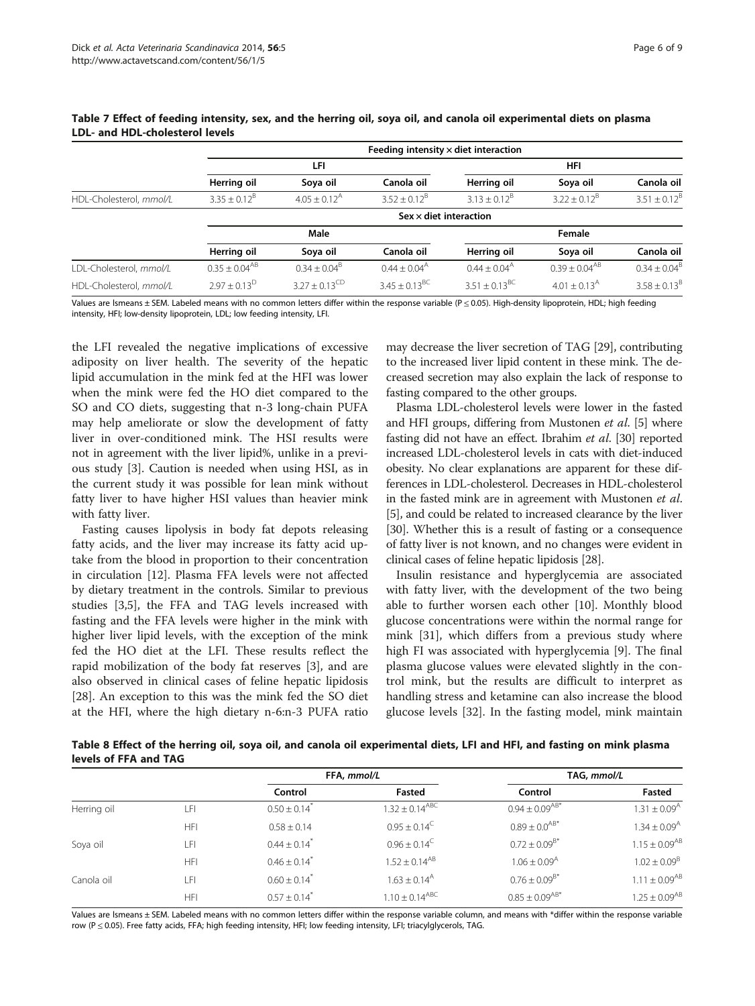|                         | reeding intensity x diet interaction |                              |                                  |                          |                              |                   |
|-------------------------|--------------------------------------|------------------------------|----------------------------------|--------------------------|------------------------------|-------------------|
|                         |                                      | LFI                          |                                  |                          | <b>HFI</b>                   |                   |
|                         | Herring oil                          | Soya oil                     | Canola oil                       | Herring oil              | Soya oil                     | Canola oil        |
| HDL-Cholesterol, mmol/L | $3.35 \pm 0.12^8$                    | $4.05 \pm 0.12$ <sup>A</sup> | $3.52 + 0.12^8$                  | $3.13 + 0.12^B$          | $3.22 \pm 0.12^8$            | $3.51 \pm 0.12^8$ |
|                         |                                      |                              | $S$ ex $\times$ diet interaction |                          |                              |                   |
|                         |                                      | Male                         |                                  |                          | Female                       |                   |
|                         | Herring oil                          | Soya oil                     | Canola oil                       | Herring oil              | Soya oil                     | Canola oil        |
| LDL-Cholesterol, mmol/L | $0.35 \pm 0.04^{AB}$                 | $0.34 \pm 0.04^{\circ}$      | $0.44 + 0.04^{\text{A}}$         | $0.44 + 0.04^{\text{A}}$ | $0.39 \pm 0.04^{AB}$         | $0.34 + 0.04^8$   |
| HDL-Cholesterol, mmol/L | $2.97 + 0.13^D$                      | $3.27 \pm 0.13^{\text{CD}}$  | $3.45 \pm 0.13^{BC}$             | $3.51 \pm 0.13^{BC}$     | $4.01 \pm 0.13$ <sup>A</sup> | $3.58 \pm 0.13^8$ |

Feeding intensity × diet interaction

<span id="page-5-0"></span>Table 7 Effect of feeding intensity, sex, and the herring oil, soya oil, and canola oil experimental diets on plasma LDL- and HDL-cholesterol levels

Values are Ismeans ± SEM. Labeled means with no common letters differ within the response variable ( $P \le 0.05$ ). High-density lipoprotein, HDL; high feeding intensity, HFI; low-density lipoprotein, LDL; low feeding intensity, LFI.

the LFI revealed the negative implications of excessive adiposity on liver health. The severity of the hepatic lipid accumulation in the mink fed at the HFI was lower when the mink were fed the HO diet compared to the SO and CO diets, suggesting that n-3 long-chain PUFA may help ameliorate or slow the development of fatty liver in over-conditioned mink. The HSI results were not in agreement with the liver lipid%, unlike in a previous study [[3\]](#page-7-0). Caution is needed when using HSI, as in the current study it was possible for lean mink without fatty liver to have higher HSI values than heavier mink with fatty liver.

Fasting causes lipolysis in body fat depots releasing fatty acids, and the liver may increase its fatty acid uptake from the blood in proportion to their concentration in circulation [\[12](#page-7-0)]. Plasma FFA levels were not affected by dietary treatment in the controls. Similar to previous studies [\[3,5](#page-7-0)], the FFA and TAG levels increased with fasting and the FFA levels were higher in the mink with higher liver lipid levels, with the exception of the mink fed the HO diet at the LFI. These results reflect the rapid mobilization of the body fat reserves [[3\]](#page-7-0), and are also observed in clinical cases of feline hepatic lipidosis [[28\]](#page-7-0). An exception to this was the mink fed the SO diet at the HFI, where the high dietary n-6:n-3 PUFA ratio may decrease the liver secretion of TAG [[29](#page-7-0)], contributing to the increased liver lipid content in these mink. The decreased secretion may also explain the lack of response to fasting compared to the other groups.

Plasma LDL-cholesterol levels were lower in the fasted and HFI groups, differing from Mustonen et al. [\[5](#page-7-0)] where fasting did not have an effect. Ibrahim et al. [[30](#page-7-0)] reported increased LDL-cholesterol levels in cats with diet-induced obesity. No clear explanations are apparent for these differences in LDL-cholesterol. Decreases in HDL-cholesterol in the fasted mink are in agreement with Mustonen et al. [[5\]](#page-7-0), and could be related to increased clearance by the liver [[30](#page-7-0)]. Whether this is a result of fasting or a consequence of fatty liver is not known, and no changes were evident in clinical cases of feline hepatic lipidosis [[28](#page-7-0)].

Insulin resistance and hyperglycemia are associated with fatty liver, with the development of the two being able to further worsen each other [[10](#page-7-0)]. Monthly blood glucose concentrations were within the normal range for mink [[31\]](#page-7-0), which differs from a previous study where high FI was associated with hyperglycemia [[9](#page-7-0)]. The final plasma glucose values were elevated slightly in the control mink, but the results are difficult to interpret as handling stress and ketamine can also increase the blood glucose levels [[32\]](#page-8-0). In the fasting model, mink maintain

Table 8 Effect of the herring oil, soya oil, and canola oil experimental diets, LFI and HFI, and fasting on mink plasma levels of FFA and TAG

|             |            | FFA, mmol/L                  |                              | TAG, mmol/L                  |                              |
|-------------|------------|------------------------------|------------------------------|------------------------------|------------------------------|
|             |            | Control                      | Fasted                       | Control                      | Fasted                       |
| Herring oil | LFI        | $0.50 \pm 0.14$ <sup>*</sup> | $1.32 \pm 0.14^{ABC}$        | $0.94 \pm 0.09^{AB*}$        | $1.31 \pm 0.09^{\text{A}}$   |
|             | <b>HFI</b> | $0.58 \pm 0.14$              | $0.95 \pm 0.14^{\circ}$      | $0.89 \pm 0.0^{AB*}$         | $1.34 \pm 0.09$ <sup>A</sup> |
| Soya oil    | LFI        | $0.44 \pm 0.14$ <sup>*</sup> | $0.96 \pm 0.14^{\circ}$      | $0.72 \pm 0.09^{B*}$         | $1.15 \pm 0.09^{AB}$         |
|             | <b>HFI</b> | $0.46 \pm 0.14$ <sup>*</sup> | $1.52 + 0.14^{AB}$           | $1.06 \pm 0.09$ <sup>A</sup> | $1.02 \pm 0.09^{\rm B}$      |
| Canola oil  | LFI        | $0.60 \pm 0.14$ <sup>*</sup> | $1.63 \pm 0.14$ <sup>A</sup> | $0.76 \pm 0.09^{B*}$         | $1.11 \pm 0.09^{AB}$         |
|             | HFI        | $0.57 \pm 0.14$ <sup>*</sup> | $1.10 \pm 0.14^{ABC}$        | $0.85 \pm 0.09^{AB*}$        | $1.25 \pm 0.09^{AB}$         |

Values are Ismeans ± SEM. Labeled means with no common letters differ within the response variable column, and means with \*differ within the response variable row (P ≤ 0.05). Free fatty acids, FFA; high feeding intensity, HFI; low feeding intensity, LFI; triacylglycerols, TAG.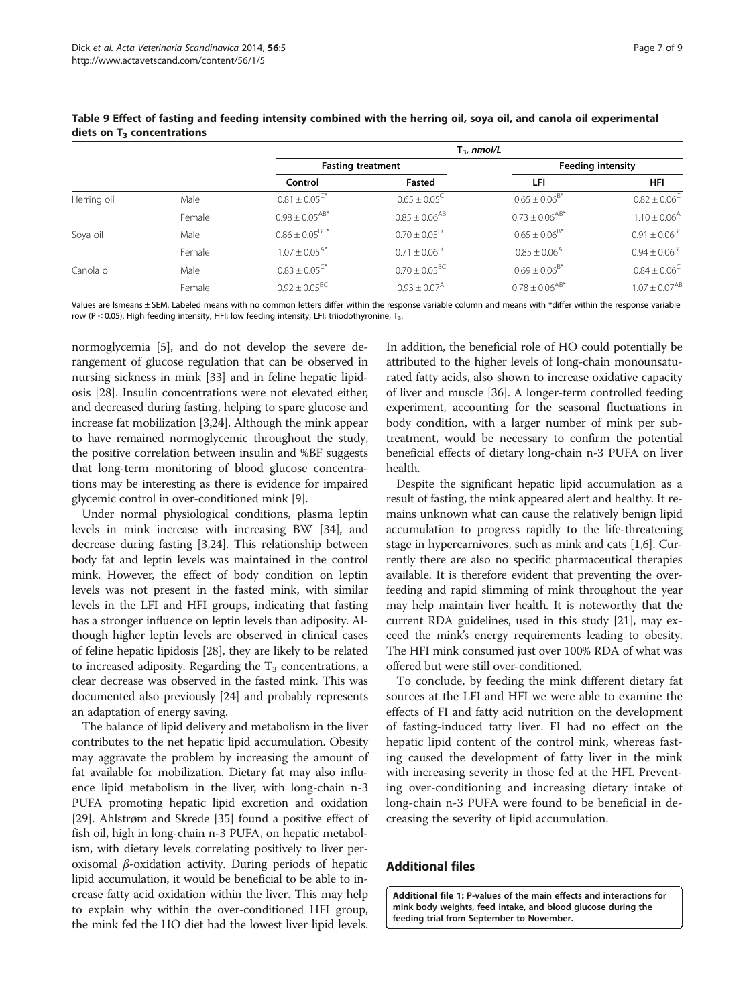|             |        | $T_{3}$ , nmol/L              |                              |                              |                              |
|-------------|--------|-------------------------------|------------------------------|------------------------------|------------------------------|
|             |        |                               | <b>Fasting treatment</b>     |                              | <b>Feeding intensity</b>     |
|             |        | Control                       | Fasted                       | LFI                          | <b>HFI</b>                   |
| Herring oil | Male   | $0.81 \pm 0.05$ <sup>C*</sup> | $0.65 \pm 0.05^{\circ}$      | $0.65 \pm 0.06^{B*}$         | $0.82 \pm 0.06^{\circ}$      |
|             | Female | $0.98 \pm 0.05^{AB*}$         | $0.85 \pm 0.06^{AB}$         | $0.73 \pm 0.06^{AB*}$        | $1.10 \pm 0.06$ <sup>A</sup> |
| Soya oil    | Male   | $0.86 \pm 0.05^{BC*}$         | $0.70 \pm 0.05^{\rm BC}$     | $0.65 \pm 0.06^{B*}$         | $0.91 \pm 0.06^{BC}$         |
|             | Female | $1.07 \pm 0.05^{A*}$          | $0.71 \pm 0.06^{\rm BC}$     | $0.85 \pm 0.06$ <sup>A</sup> | $0.94 \pm 0.06^{\rm BC}$     |
| Canola oil  | Male   | $0.83 \pm 0.05^{\text{C*}}$   | $0.70 \pm 0.05^{\text{BC}}$  | $0.69 \pm 0.06^{B*}$         | $0.84 \pm 0.06^{\circ}$      |
|             | Female | $0.92 \pm 0.05^{\text{BC}}$   | $0.93 \pm 0.07$ <sup>A</sup> | $0.78 \pm 0.06^{AB*}$        | $1.07 \pm 0.07^{AB}$         |

<span id="page-6-0"></span>Table 9 Effect of fasting and feeding intensity combined with the herring oil, soya oil, and canola oil experimental diets on  $T_3$  concentrations

Values are Ismeans ± SEM. Labeled means with no common letters differ within the response variable column and means with \*differ within the response variable row (P  $\leq$  0.05). High feeding intensity, HFI; low feeding intensity, LFI; triiodothyronine, T<sub>3</sub>.

normoglycemia [[5](#page-7-0)], and do not develop the severe derangement of glucose regulation that can be observed in nursing sickness in mink [\[33](#page-8-0)] and in feline hepatic lipidosis [\[28\]](#page-7-0). Insulin concentrations were not elevated either, and decreased during fasting, helping to spare glucose and increase fat mobilization [\[3,24\]](#page-7-0). Although the mink appear to have remained normoglycemic throughout the study, the positive correlation between insulin and %BF suggests that long-term monitoring of blood glucose concentrations may be interesting as there is evidence for impaired glycemic control in over-conditioned mink [\[9\]](#page-7-0).

Under normal physiological conditions, plasma leptin levels in mink increase with increasing BW [\[34](#page-8-0)], and decrease during fasting [[3,24](#page-7-0)]. This relationship between body fat and leptin levels was maintained in the control mink. However, the effect of body condition on leptin levels was not present in the fasted mink, with similar levels in the LFI and HFI groups, indicating that fasting has a stronger influence on leptin levels than adiposity. Although higher leptin levels are observed in clinical cases of feline hepatic lipidosis [[28](#page-7-0)], they are likely to be related to increased adiposity. Regarding the  $T_3$  concentrations, a clear decrease was observed in the fasted mink. This was documented also previously [\[24](#page-7-0)] and probably represents an adaptation of energy saving.

The balance of lipid delivery and metabolism in the liver contributes to the net hepatic lipid accumulation. Obesity may aggravate the problem by increasing the amount of fat available for mobilization. Dietary fat may also influence lipid metabolism in the liver, with long-chain n-3 PUFA promoting hepatic lipid excretion and oxidation [[29](#page-7-0)]. Ahlstrøm and Skrede [[35\]](#page-8-0) found a positive effect of fish oil, high in long-chain n-3 PUFA, on hepatic metabolism, with dietary levels correlating positively to liver peroxisomal  $β$ -oxidation activity. During periods of hepatic lipid accumulation, it would be beneficial to be able to increase fatty acid oxidation within the liver. This may help to explain why within the over-conditioned HFI group, the mink fed the HO diet had the lowest liver lipid levels. In addition, the beneficial role of HO could potentially be attributed to the higher levels of long-chain monounsaturated fatty acids, also shown to increase oxidative capacity of liver and muscle [[36](#page-8-0)]. A longer-term controlled feeding experiment, accounting for the seasonal fluctuations in body condition, with a larger number of mink per subtreatment, would be necessary to confirm the potential beneficial effects of dietary long-chain n-3 PUFA on liver health.

Despite the significant hepatic lipid accumulation as a result of fasting, the mink appeared alert and healthy. It remains unknown what can cause the relatively benign lipid accumulation to progress rapidly to the life-threatening stage in hypercarnivores, such as mink and cats [\[1,6\]](#page-7-0). Currently there are also no specific pharmaceutical therapies available. It is therefore evident that preventing the overfeeding and rapid slimming of mink throughout the year may help maintain liver health. It is noteworthy that the current RDA guidelines, used in this study [\[21\]](#page-7-0), may exceed the mink's energy requirements leading to obesity. The HFI mink consumed just over 100% RDA of what was offered but were still over-conditioned.

To conclude, by feeding the mink different dietary fat sources at the LFI and HFI we were able to examine the effects of FI and fatty acid nutrition on the development of fasting-induced fatty liver. FI had no effect on the hepatic lipid content of the control mink, whereas fasting caused the development of fatty liver in the mink with increasing severity in those fed at the HFI. Preventing over-conditioning and increasing dietary intake of long-chain n-3 PUFA were found to be beneficial in decreasing the severity of lipid accumulation.

# Additional files

[Additional file 1:](http://www.biomedcentral.com/content/supplementary/1751-0147-56-5-S1.docx) P-values of the main effects and interactions for mink body weights, feed intake, and blood glucose during the feeding trial from September to November.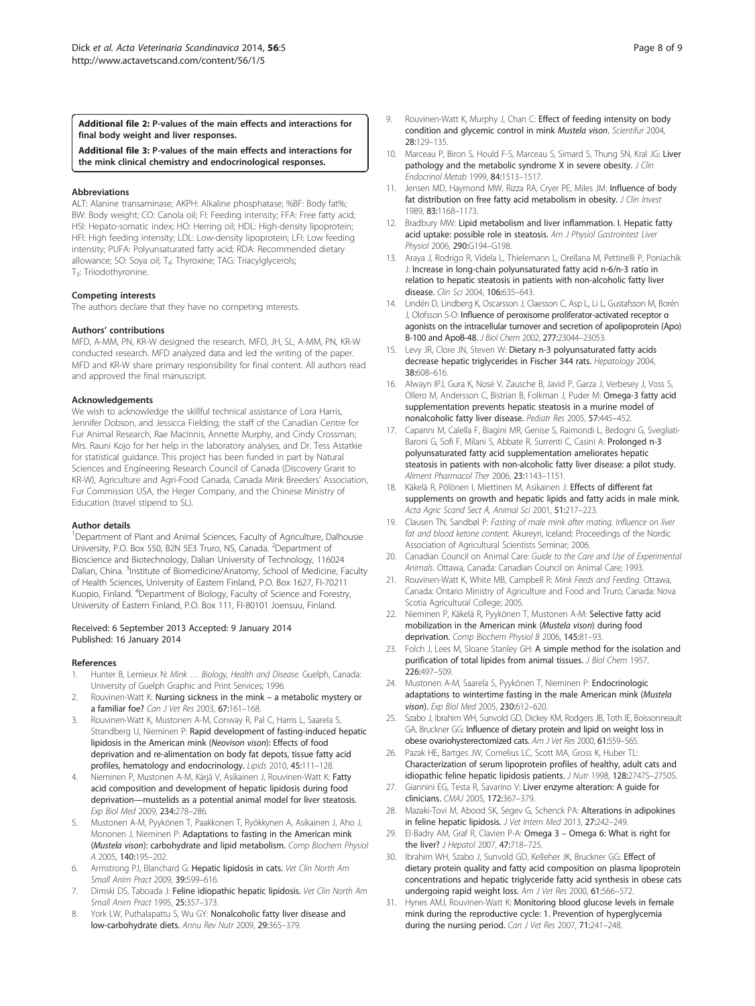<span id="page-7-0"></span>[Additional file 2:](http://www.biomedcentral.com/content/supplementary/1751-0147-56-5-S2.docx) P-values of the main effects and interactions for final body weight and liver responses.

[Additional file 3:](http://www.biomedcentral.com/content/supplementary/1751-0147-56-5-S3.docx) P-values of the main effects and interactions for the mink clinical chemistry and endocrinological responses.

#### Abbreviations

ALT: Alanine transaminase; AKPH: Alkaline phosphatase; %BF: Body fat%; BW: Body weight; CO: Canola oil; FI: Feeding intensity; FFA: Free fatty acid; HSI: Hepato-somatic index; HO: Herring oil; HDL: High-density lipoprotein; HFI: High feeding intensity; LDL: Low-density lipoprotein; LFI: Low feeding intensity; PUFA: Polyunsaturated fatty acid; RDA: Recommended dietary allowance; SO: Soya oil; T<sub>4</sub>: Thyroxine; TAG: Triacylglycerols; T3: Triiodothyronine.

#### Competing interests

The authors declare that they have no competing interests.

#### Authors' contributions

MFD, A-MM, PN, KR-W designed the research. MFD, JH, SL, A-MM, PN, KR-W conducted research. MFD analyzed data and led the writing of the paper. MFD and KR-W share primary responsibility for final content. All authors read and approved the final manuscript.

#### Acknowledgements

We wish to acknowledge the skillful technical assistance of Lora Harris, Jennifer Dobson, and Jessicca Fielding; the staff of the Canadian Centre for Fur Animal Research, Rae MacInnis, Annette Murphy, and Cindy Crossman; Mrs. Rauni Kojo for her help in the laboratory analyses, and Dr. Tess Astatkie for statistical guidance. This project has been funded in part by Natural Sciences and Engineering Research Council of Canada (Discovery Grant to KR-W), Agriculture and Agri-Food Canada, Canada Mink Breeders' Association, Fur Commission USA, the Heger Company, and the Chinese Ministry of Education (travel stipend to SL).

#### Author details

<sup>1</sup>Department of Plant and Animal Sciences, Faculty of Agriculture, Dalhousie University, P.O. Box 550, B2N 5E3 Truro, NS, Canada. <sup>2</sup>Department of Bioscience and Biotechnology, Dalian University of Technology, 116024 Dalian, China. <sup>3</sup>Institute of Biomedicine/Anatomy, School of Medicine, Faculty of Health Sciences, University of Eastern Finland, P.O. Box 1627, FI-70211 Kuopio, Finland. <sup>4</sup> Department of Biology, Faculty of Science and Forestry, University of Eastern Finland, P.O. Box 111, FI-80101 Joensuu, Finland.

#### Received: 6 September 2013 Accepted: 9 January 2014 Published: 16 January 2014

#### References

- 1. Hunter B, Lemieux N: Mink ... Biology, Health and Disease. Guelph, Canada: University of Guelph Graphic and Print Services; 1996.
- 2. Rouvinen-Watt K: Nursing sickness in the mink a metabolic mystery or a familiar foe? Can J Vet Res 2003, 67:161–168.
- 3. Rouvinen-Watt K, Mustonen A-M, Conway R, Pal C, Harris L, Saarela S, Strandberg U, Nieminen P: Rapid development of fasting-induced hepatic lipidosis in the American mink (Neovison vison): Effects of food deprivation and re-alimentation on body fat depots, tissue fatty acid profiles, hematology and endocrinology. Lipids 2010, 45:111–128.
- 4. Nieminen P, Mustonen A-M, Kärjä V, Asikainen J, Rouvinen-Watt K: Fatty acid composition and development of hepatic lipidosis during food deprivation—mustelids as a potential animal model for liver steatosis. Exp Biol Med 2009, 234:278–286.
- 5. Mustonen A-M, Pyykönen T, Paakkonen T, Ryökkynen A, Asikainen J, Aho J, Mononen J, Nieminen P: Adaptations to fasting in the American mink (Mustela vison): carbohydrate and lipid metabolism. Comp Biochem Physiol A 2005, 140:195–202.
- Armstrong PJ, Blanchard G: Hepatic lipidosis in cats. Vet Clin North Am Small Anim Pract 2009, 39:599–616.
- Dimski DS, Taboada J: Feline idiopathic hepatic lipidosis. Vet Clin North Am Small Anim Pract 1995, 25:357–373.
- 8. York LW, Puthalapattu S, Wu GY: Nonalcoholic fatty liver disease and low-carbohydrate diets. Annu Rev Nutr 2009, 29:365–379.
- 9. Rouvinen-Watt K, Murphy J, Chan C: Effect of feeding intensity on body condition and glycemic control in mink Mustela vison. Scientifur 2004, 28:129–135.
- 10. Marceau P, Biron S, Hould F-S, Marceau S, Simard S, Thung SN, Kral JG: Liver pathology and the metabolic syndrome X in severe obesity. J Clin Endocrinol Metab 1999, 84:1513–1517.
- 11. Jensen MD, Haymond MW, Rizza RA, Cryer PE, Miles JM: Influence of body fat distribution on free fatty acid metabolism in obesity. J Clin Invest 1989, 83:1168–1173.
- 12. Bradbury MW: Lipid metabolism and liver inflammation. I. Hepatic fatty acid uptake: possible role in steatosis. Am J Physiol Gastrointest Liver Physiol 2006, 290:G194–G198.
- 13. Araya J, Rodrigo R, Videla L, Thielemann L, Orellana M, Pettinelli P, Poniachik J: Increase in long-chain polyunsaturated fatty acid n-6/n-3 ratio in relation to hepatic steatosis in patients with non-alcoholic fatty liver disease. Clin Sci 2004, 106:635-643.
- 14. Lindén D, Lindberg K, Oscarsson J, Claesson C, Asp L, Li L, Gustafsson M, Borén J, Olofsson S-O: Influence of peroxisome proliferator-activated receptor α agonists on the intracellular turnover and secretion of apolipoprotein (Apo) B-100 and ApoB-48. J Biol Chem 2002, 277:23044–23053.
- 15. Levy JR, Clore JN, Steven W: Dietary n-3 polyunsaturated fatty acids decrease hepatic triglycerides in Fischer 344 rats. Hepatology 2004, 38:608–616.
- 16. Alwayn IPJ, Gura K, Nosé V, Zausche B, Javid P, Garza J, Verbesey J, Voss S, Ollero M, Andersson C, Bistrian B, Folkman J, Puder M: Omega-3 fatty acid supplementation prevents hepatic steatosis in a murine model of nonalcoholic fatty liver disease. Pediatr Res 2005, 57:445–452.
- 17. Capanni M, Calella F, Biagini MR, Genise S, Raimondi L, Bedogni G, Svegliati-Baroni G, Sofi F, Milani S, Abbate R, Surrenti C, Casini A: Prolonged n-3 polyunsaturated fatty acid supplementation ameliorates hepatic steatosis in patients with non-alcoholic fatty liver disease: a pilot study. Aliment Pharmacol Ther 2006, 23:1143–1151.
- 18. Käkelä R, Pölönen I, Miettinen M, Asikainen J: Effects of different fat supplements on growth and hepatic lipids and fatty acids in male mink. Acta Agric Scand Sect A, Animal Sci 2001, 51:217–223.
- 19. Clausen TN, Sandbøl P: Fasting of male mink after mating. Influence on liver fat and blood ketone content. Akureyri, Iceland: Proceedings of the Nordic Association of Agricultural Scientists Seminar; 2006.
- 20. Canadian Council on Animal Care: Guide to the Care and Use of Experimental Animals. Ottawa, Canada: Canadian Council on Animal Care; 1993.
- 21. Rouvinen-Watt K, White MB, Campbell R: Mink Feeds and Feeding. Ottawa, Canada: Ontario Ministry of Agriculture and Food and Truro, Canada: Nova Scotia Agricultural College; 2005.
- 22. Nieminen P, Käkelä R, Pyykönen T, Mustonen A-M: Selective fatty acid mobilization in the American mink (Mustela vison) during food deprivation. Comp Biochem Physiol B 2006, 145:81-93.
- 23. Folch J, Lees M, Sloane Stanley GH: A simple method for the isolation and purification of total lipides from animal tissues. J Biol Chem 1957, 226:497–509.
- 24. Mustonen A-M, Saarela S, Pyykönen T, Nieminen P: Endocrinologic adaptations to wintertime fasting in the male American mink (Mustela vison). Exp Biol Med 2005, 230:612–620.
- 25. Szabo J, Ibrahim WH, Sunvold GD, Dickey KM, Rodgers JB, Toth IE, Boissonneault GA, Bruckner GG: Influence of dietary protein and lipid on weight loss in obese ovariohysterectomized cats. Am J Vet Res 2000, 61:559–565.
- 26. Pazak HE, Bartges JW, Cornelius LC, Scott MA, Gross K, Huber TL: Characterization of serum lipoprotein profiles of healthy, adult cats and idiopathic feline hepatic lipidosis patients. J Nutr 1998, 128:2747S-2750S.
- 27. Giannini EG, Testa R, Savarino V: Liver enzyme alteration: A quide for clinicians. CMAJ 2005, 172:367–379.
- 28. Mazaki-Tovi M, Abood SK, Segev G, Schenck PA: Alterations in adipokines in feline hepatic lipidosis. J Vet Intern Med 2013, 27:242–249.
- 29. El-Badry AM, Graf R, Clavien P-A: Omega 3 Omega 6: What is right for the liver? J Hepatol 2007, 47:718-725.
- 30. Ibrahim WH, Szabo J, Sunvold GD, Kelleher JK, Bruckner GG: Effect of dietary protein quality and fatty acid composition on plasma lipoprotein concentrations and hepatic triglyceride fatty acid synthesis in obese cats undergoing rapid weight loss. Am J Vet Res 2000, 61:566–572.
- 31. Hynes AMJ, Rouvinen-Watt K: Monitoring blood glucose levels in female mink during the reproductive cycle: 1. Prevention of hyperglycemia during the nursing period. Can J Vet Res 2007, 71:241-248.